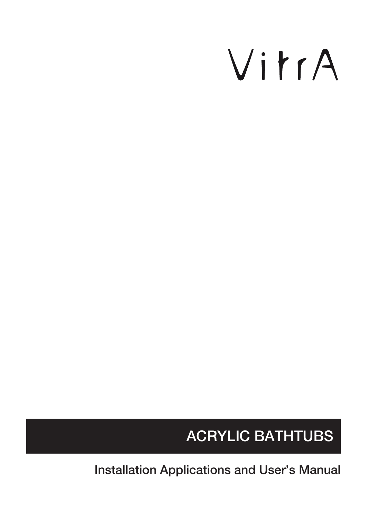# VitrA

# ACRYLIC BATHTUBS

Installation Applications and User's Manual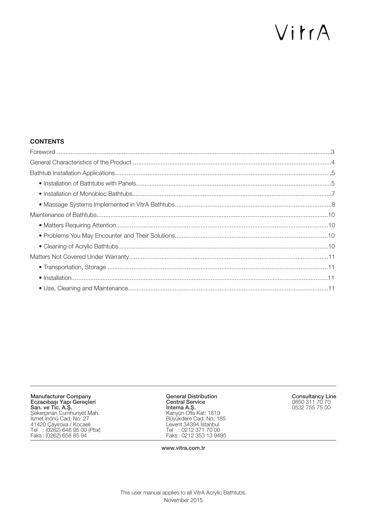# VitrA

#### **CONTENTS**

Manufacturer Company Eczacıbaşı Yapı Gereçleri San. ve Tic. A.Ş. Șekerpınarı Cumhuriyet Mah. İsmet İnönü Cad. No: 27 41420 Çayırova / Kocaeli Tel : (0262) 648 95 00 (Pbx) Faks : (0262) 658 85 94

General Distribution Central Service İntema A.Ş. Kanyon Ofis Kat: 1819 Büyükdere Cad. No: 185 Levent 34394 İstanbul Tel : 0212 371 70 00 Faks : 0212 353 13 9495

Consultancy Line 0850 311 70 70 0532 755 75 00

www.vitra.com.tr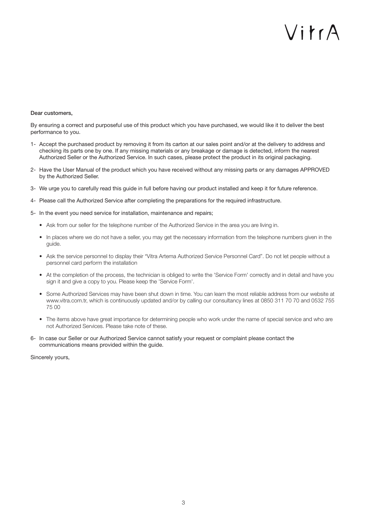# $\bigvee$ i tr $\bigwedge$

#### Dear customers,

By ensuring a correct and purposeful use of this product which you have purchased, we would like it to deliver the best performance to you.

- 1- Accept the purchased product by removing it from its carton at our sales point and/or at the delivery to address and checking its parts one by one. If any missing materials or any breakage or damage is detected, inform the nearest Authorized Seller or the Authorized Service. In such cases, please protect the product in its original packaging.
- 2- Have the User Manual of the product which you have received without any missing parts or any damages APPROVED by the Authorized Seller.
- 3- We urge you to carefully read this guide in full before having our product installed and keep it for future reference.
- 4- Please call the Authorized Service after completing the preparations for the required infrastructure.
- 5- In the event you need service for installation, maintenance and repairs;
	- Ask from our seller for the telephone number of the Authorized Service in the area you are living in.
	- In places where we do not have a seller, you may get the necessary information from the telephone numbers given in the guide.
	- Ask the service personnel to display their "Vitra Artema Authorized Service Personnel Card". Do not let people without a personnel card perform the installation
	- At the completion of the process, the technician is obliged to write the 'Service Form' correctly and in detail and have you sign it and give a copy to you. Please keep the 'Service Form'.
	- Some Authorized Services may have been shut down in time. You can learn the most reliable address from our website at www.vitra.com.tr, which is continuously updated and/or by calling our consultancy lines at 0850 311 70 70 and 0532 755 75 00
	- The items above have great importance for determining people who work under the name of special service and who are not Authorized Services. Please take note of these.
- 6- In case our Seller or our Authorized Service cannot satisfy your request or complaint please contact the communications means provided within the guide.

Sincerely yours,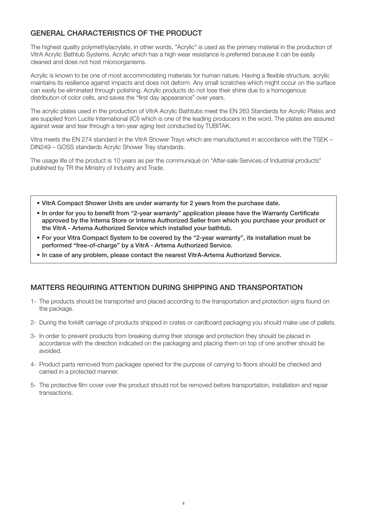#### GENERAL CHARACTERISTICS OF THE PRODUCT

The highest quality polymethylacrylate, in other words, "Acrylic" is used as the primary material in the production of VitrA Acrylic Bathtub Systems. Acrylic which has a high wear resistance is preferred because it can be easily cleaned and does not host microorganisms.

Acrylic is known to be one of most accommodating materials for human nature. Having a flexible structure, acrylic maintains its resilience against impacts and does not deform. Any small scratches which might occur on the surface can easily be eliminated through polishing. Acrylic products do not lose their shine due to a homogenous distribution of color cells, and saves the "first day appearance" over years.

The acrylic plates used in the production of VitrA Acrylic Bathtubs meet the EN 263 Standards for Acrylic Plates and are supplied from Lucite International (ICI) which is one of the leading producers in the word. The plates are assured against wear and tear through a ten-year aging test conducted by TUBITAK.

Vitra meets the EN 274 standard in the VitrA Shower Trays which are manufactured in accordance with the TSEK – DIN249 – GOSS standards Acrylic Shower Tray standards.

The usage life of the product is 10 years as per the communiqué on "After-sale Services of Industrial products" published by TR the Ministry of Industry and Trade.

- VitrA Compact Shower Units are under warranty for 2 years from the purchase date.
- In order for you to benefit from "2-year warranty" application please have the Warranty Certificate approved by the Intema Store or Intema Authorized Seller from which you purchase your product or the VitrA - Artema Authorized Service which installed your bathtub.
- For your Vitra Compact System to be covered by the "2-year warranty", its installation must be performed "free-of-charge" by a VitrA - Artema Authorized Service.
- In case of any problem, please contact the nearest VitrA-Artema Authorized Service.

#### MATTERS REQUIRING ATTENTION DURING SHIPPING AND TRANSPORTATION

- 1- The products should be transported and placed according to the transportation and protection signs found on the package.
- 2- During the forklift carriage of products shipped in crates or cardboard packaging you should make use of pallets.
- 3- In order to prevent products from breaking during their storage and protection they should be placed in accordance with the direction indicated on the packaging and placing them on top of one another should be avoided.
- 4- Product parts removed from packages opened for the purpose of carrying to floors should be checked and carried in a protected manner.
- 5- The protective film cover over the product should not be removed before transportation, installation and repair transactions.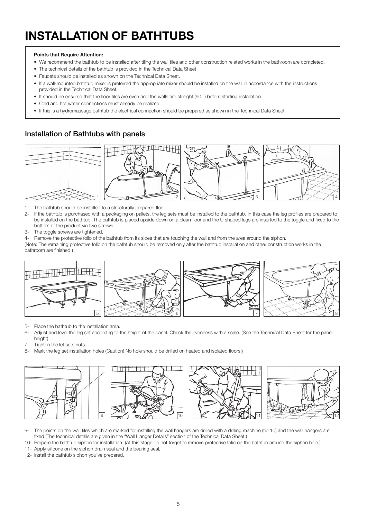## INSTALLATION OF BATHTUBS

#### Points that Require Attention:

- We recommend the bathtub to be installed after tiling the wall tiles and other construction related works in the bathroom are completed.
- The technical details of the bathtub is provided in the Technical Data Sheet.
- Faucets should be installed as shown on the Technical Data Sheet.
- If a wall-mounted bathtub mixer is preferred the appropriate mixer should be installed on the wall in accordance with the instructions provided in the Technical Data Sheet.
- It should be ensured that the floor tiles are even and the walls are straight (90 °) before starting installation.
- Cold and hot water connections must already be realized.
- If this is a hydromassage bathtub the electrical connection should be prepared as shown in the Technical Data Sheet.

#### Installation of Bathtubs with panels



- 1- The bathtub should be installed to a structurally prepared floor.
- 2- If the bathtub is purchased with a packaging on pallets, the leg sets must be installed to the bathtub. In this case the leg profiles are prepared to be installed on the bathtub. The bathtub is placed upside down on a clean floor and the U shaped legs are inserted to the toggle and fixed to the bottom of the product via two screws.
- 3- The toggle screws are tightened.
- 4- Remove the protective folio of the bathtub from its sides that are touching the wall and from the area around the siphon.

(Note: The remaining protective folio on the bathtub should be removed only after the bathtub installation and other construction works in the bathroom are finished.)



- 5- Place the bathtub to the installation area.
- 6- Adjust and level the leg set according to the height of the panel. Check the evenness with a scale. (See the Technical Data Sheet for the panel height).
- 7- Tighten the let sets nuts.
- 8- Mark the leg set installation holes (Caution! No hole should be drilled on heated and isolated floors!)



- 9- The points on the wall tiles which are marked for installing the wall hangers are drilled with a drilling machine (tip 10) and the wall hangers are fixed (The technical details are given in the "Wall Hanger Details" section of the Technical Data Sheet.)
- 10- Prepare the bathtub siphon for installation. (At this stage do not forget to remove protective folio on the bathtub around the siphon hole.)
- 11- Apply silicone on the siphon drain seal and the bearing seal,
- 12- Install the bathtub siphon you've prepared.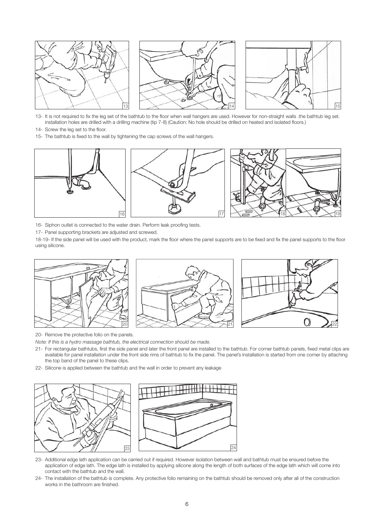





- 13- It is not required to fix the leg set of the bathtub to the floor when wall hangers are used. However for non-straight walls .the bathtub leg set. installation holes are drilled with a drilling machine (tip 7-8) (Caution: No hole should be drilled on heated and isolated floors.)
- 14- Screw the leg set to the floor.
- 15- The bathtub is fixed to the wall by tightening the cap screws of the wall hangers.



- 16- Siphon outlet is connected to the water drain. Perform leak proofing tests.
- 17- Panel supporting brackets are adjusted and screwed.

18-19- If the side panel will be used with the product, mark the floor where the panel supports are to be fixed and fix the panel supports to the floor using silicone.



20- Remove the protective folio on the panels.

Note: If this is a hydro massage bathtub, the electrical connection should be made.

- 21- For rectangular bathtubs, first the side panel and later the front panel are installed to the bathtub. For corner bathtub panels, fixed metal clips are available for panel installation under the front side rims of bathtub to fix the panel. The panel's installation is started from one corner by attaching the top band of the panel to these clips.
- 22- Silicone is applied between the bathtub and the wall in order to prevent any leakage





- 23- Additional edge lath application can be carried out if required. However isolation between wall and bathtub must be ensured before the application of edge lath. The edge lath is installed by applying silicone along the length of both surfaces of the edge lath which will come into contact with the bathtub and the wall.
- 24- The installation of the bathtub is complete. Any protective folio remaining on the bathtub should be removed only after all of the construction works in the bathroom are finished.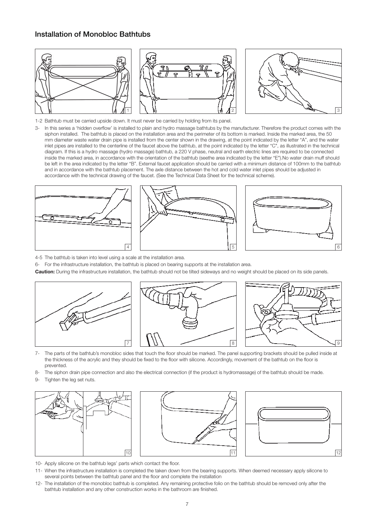#### Installation of Monobloc Bathtubs



- 1-2 Bathtub must be carried upside down. It must never be carried by holding from its panel.
- 3- In this series a 'hidden overflow' is installed to plain and hydro massage bathtubs by the manufacturer. Therefore the product comes with the siphon installed. The bathtub is placed on the installation area and the perimeter of its bottom is marked. Inside the marked area, the 50 mm diameter waste water drain pipe is installed from the center shown in the drawing, at the point indicated by the letter "A", and the water inlet pipes are installed to the centerline of the faucet above the bathtub, at the point indicated by the letter "C", as illustrated in the technical diagram. If this is a hydro massage (hydro massage) bathtub, a 220 V phase, neutral and earth electric lines are required to be connected inside the marked area, in accordance with the orientation of the bathtub (seethe area indicated by the letter "E").No water drain muff should be left in the area indicated by the letter "B". External faucet application should be carried with a minimum distance of 100mm to the bathtub and in accordance with the bathtub placement. The axle distance between the hot and cold water inlet pipes should be adjusted in accordance with the technical drawing of the faucet. (See the Technical Data Sheet for the technical scheme).







4-5 The bathtub is taken into level using a scale at the installation area.

6- For the infrastructure installation, the bathtub is placed on bearing supports at the installation area.

Caution: During the infrastructure installation, the bathtub should not be tilted sideways and no weight should be placed on its side panels.



- 7- The parts of the bathtub's monobloc sides that touch the floor should be marked. The panel supporting brackets should be pulled inside at the thickness of the acrylic and they should be fixed to the floor with silicone. Accordingly, movement of the bathtub on the floor is prevented.
- 8- The siphon drain pipe connection and also the electrical connection (if the product is hydromassage) of the bathtub should be made.
- 9- Tighten the leg set nuts.







- 10- Apply silicone on the bathtub legs' parts which contact the floor.
- 11- When the infrastructure installation is completed the taken down from the bearing supports. When deemed necessary apply silicone to several points between the bathtub panel and the floor and complete the installation
- 12- The installation of the monobloc bathtub is completed. Any remaining protective folio on the bathtub should be removed only after the bathtub installation and any other construction works in the bathroom are finished.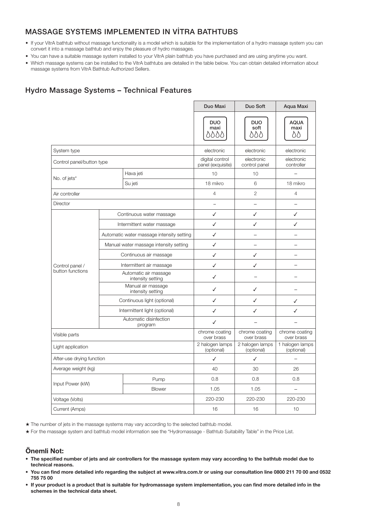#### MASSAGE SYSTEMS IMPLEMENTED IN VİTRA BATHTUBS

- If your VitrA bathtub without massage functionality is a model which is suitable for the implementation of a hydro massage system you can convert it into a massage bathtub and enjoy the pleasure of hydro massages.
- You can have a suitable massage system installed to your VitrA plain bathtub you have purchased and are using anytime you want.
- Which massage systems can be installed to the VitrA bathtubs are detailed in the table below. You can obtain detailed information about massage systems from VitrA Bathtub Authorized Sellers.

#### Hydro Massage Systems – Technical Features

|                                     |                                            | Duo Maxi                             | Duo Soft                      | Aqua Maxi                     |                           |
|-------------------------------------|--------------------------------------------|--------------------------------------|-------------------------------|-------------------------------|---------------------------|
|                                     |                                            |                                      | <b>DUO</b><br>maxi<br>8888    | <b>DUO</b><br>soft<br>888     | <b>AQUA</b><br>maxi<br>δÒ |
| System type                         |                                            |                                      | electronic                    | electronic                    | electronic                |
| Control panel/button type           |                                            | digital control<br>panel (exquisite) | electronic<br>control panel   | electronic<br>controller      |                           |
| No. of jets*                        |                                            | Hava jeti                            | 10                            | 10                            |                           |
|                                     |                                            | Su jeti                              | 18 mikro                      | 6                             | 18 mikro                  |
| Air controller                      |                                            | $\overline{4}$                       | $\overline{2}$                | $\overline{4}$                |                           |
| Director                            |                                            | $\qquad \qquad -$                    | ÷                             | $\overline{\phantom{0}}$      |                           |
|                                     | Continuous water massage                   |                                      | ✓                             | ✓                             | ✓                         |
|                                     | Intermittent water massage                 |                                      | ✓                             | ✓                             | ✓                         |
|                                     | Automatic water massage intensity setting  |                                      | ✓                             |                               | $\overline{\phantom{0}}$  |
|                                     | Manual water massage intensity setting     |                                      | ✓                             | $\overline{\phantom{0}}$      | $\overline{\phantom{0}}$  |
| Control panel /<br>button functions | Continuous air massage                     |                                      | ✓                             | ✓                             |                           |
|                                     | Intermittent air massage                   |                                      | ✓                             | ✓                             |                           |
|                                     | Automatic air massage<br>intensity setting |                                      | ✓                             |                               |                           |
|                                     | Manual air massage<br>intensity setting    |                                      | ✓                             | ✓                             |                           |
|                                     | Continuous light (optional)                |                                      | ✓                             | ✓                             | ✓                         |
|                                     | Intermittent light (optional)              |                                      | ✓                             | ✓                             | ✓                         |
|                                     |                                            | Automatic disinfection<br>program    | ✓                             |                               |                           |
| Visible parts                       |                                            | chrome coating<br>over brass         | chrome coating<br>over brass  | chrome coating<br>over brass  |                           |
| Light application                   |                                            | 2 halogen lamps<br>(optional)        | 2 halogen lamps<br>(optional) | 1 halogen lamps<br>(optional) |                           |
| After-use drying function           |                                            | $\checkmark$                         | $\checkmark$                  |                               |                           |
| Average weight (kg)                 |                                            | 40                                   | 30                            | 26                            |                           |
| Input Power (kW)                    |                                            | Pump                                 | 0.8                           | 0.8                           | 0.8                       |
|                                     |                                            | <b>Blower</b>                        | 1.05                          | 1.05                          | $\overline{a}$            |
| Voltage (Volts)                     |                                            | 220-230                              | 220-230                       | 220-230                       |                           |
| Current (Amps)                      |                                            | 16                                   | 16                            | 10                            |                           |

★ The number of jets in the massage systems may vary according to the selected bathtub model.

★ For the massage system and bathtub model information see the "Hydromassage - Bathtub Suitability Table" in the Price List.

#### Önemli Not:

- The specified number of jets and air controllers for the massage system may vary according to the bathtub model due to technical reasons.
- You can find more detailed info regarding the subject at www.vitra.com.tr or using our consultation line 0800 211 70 00 and 0532 755 75 00
- If your product is a product that is suitable for hydromassage system implementation, you can find more detailed info in the schemes in the technical data sheet.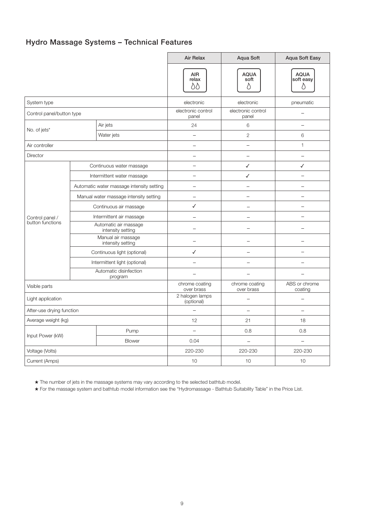#### Hydro Massage Systems – Technical Features

|                                     |                                         | <b>Air Relax</b>                           | Aqua Soft                    | <b>Aqua Soft Easy</b>    |                               |
|-------------------------------------|-----------------------------------------|--------------------------------------------|------------------------------|--------------------------|-------------------------------|
|                                     |                                         |                                            | <b>AIR</b><br>relax<br>8Q    | <b>AQUA</b><br>soft<br>δ | <b>AQUA</b><br>soft easy<br>D |
| System type                         |                                         |                                            | electronic                   | electronic               | pneumatic                     |
| Control panel/button type           |                                         | electronic control<br>panel                | electronic control<br>panel  |                          |                               |
| No. of jets*                        |                                         | Air jets                                   | 24                           | 6                        | $\overline{\phantom{0}}$      |
|                                     |                                         | Water jets                                 | $\equiv$                     | $\overline{2}$           | 6                             |
| Air controller                      |                                         |                                            | $\equiv$                     | $\mathbf{1}$             |                               |
| Director                            |                                         |                                            | $\overline{\phantom{a}}$     | $\equiv$                 |                               |
| Control panel /<br>button functions | Continuous water massage                |                                            |                              | ✓                        | ✓                             |
|                                     |                                         | Intermittent water massage                 |                              | ✓                        | $\overline{\phantom{0}}$      |
|                                     |                                         | Automatic water massage intensity setting  |                              | $\overline{\phantom{a}}$ | $\overline{\phantom{0}}$      |
|                                     |                                         | Manual water massage intensity setting     | $\overline{\phantom{0}}$     |                          |                               |
|                                     |                                         | Continuous air massage                     | ✓                            |                          | $\equiv$                      |
|                                     |                                         | Intermittent air massage                   |                              |                          | $\overline{\phantom{a}}$      |
|                                     |                                         | Automatic air massage<br>intensity setting |                              | $\overline{\phantom{0}}$ | ÷                             |
|                                     | Manual air massage<br>intensity setting |                                            |                              |                          |                               |
|                                     | Continuous light (optional)             | ✓                                          |                              |                          |                               |
|                                     |                                         | Intermittent light (optional)              |                              |                          |                               |
|                                     |                                         | Automatic disinfection<br>program          |                              | $\overline{\phantom{0}}$ |                               |
| Visible parts                       |                                         | chrome coating<br>over brass               | chrome coating<br>over brass | ABS or chrome<br>coating |                               |
| Light application                   |                                         | 2 halogen lamps<br>(optional)              |                              |                          |                               |
| After-use drying function           |                                         |                                            | L.                           | $\equiv$                 |                               |
| Average weight (kg)                 |                                         | 12                                         | 21                           | 18                       |                               |
| Input Power (kW)                    |                                         | Pump                                       | $\overline{\phantom{a}}$     | 0.8                      | 0.8                           |
|                                     |                                         | Blower                                     | 0.04                         | $\overline{\phantom{0}}$ | $\overline{\phantom{0}}$      |
| Voltage (Volts)                     |                                         | 220-230                                    | 220-230                      | 220-230                  |                               |
| Current (Amps)                      |                                         | 10                                         | 10                           | 10                       |                               |

★ The number of jets in the massage systems may vary according to the selected bathtub model.

★ For the massage system and bathtub model information see the "Hydromassage - Bathtub Suitability Table" in the Price List.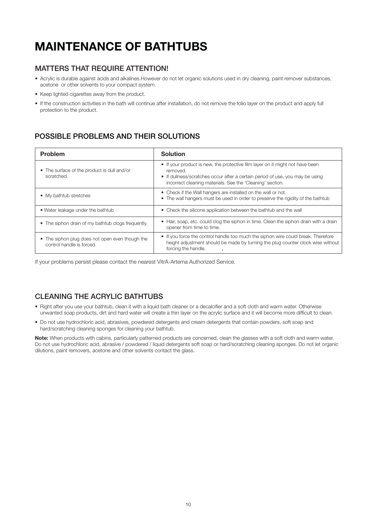### MAINTENANCE OF BATHTUBS

#### MATTERS THAT REQUIRE ATTENTION!

- Acrylic is durable against acids and alkalines.However do not let organic solutions used in dry cleaning, paint remover substances, acetone or other solvents to your compact system.
- Keep lighted cigarettes away from the product.
- If the construction activities in the bath will continue after installation, do not remove the folio layer on the product and apply full protection to the product.

#### POSSIBLE PROBLEMS AND THEIR SOLUTIONS

| <b>Problem</b>                                                               | <b>Solution</b>                                                                                                                                                                                                                         |
|------------------------------------------------------------------------------|-----------------------------------------------------------------------------------------------------------------------------------------------------------------------------------------------------------------------------------------|
| • The surface of the product is dull and/or<br>scratched.                    | • If your product is new, the protective film layer on it might not have been<br>removed.<br>• If dullness/scratches occur after a certain period of use, you may be using<br>incorrect cleaning materials. See the 'Cleaning' section. |
| • My bathtub stretches                                                       | • Check if the Wall hangers are installed on the wall or not.<br>• The wall hangers must be used in order to preserve the rigidity of the bathtub                                                                                       |
| • Water leakage under the bathtub                                            | • Check the silicone application between the bathtub and the wall                                                                                                                                                                       |
| • The siphon drain of my bathtub clogs frequently.                           | • Hair, soap, etc. could clog the siphon in time. Clean the siphon drain with a drain<br>opener from time to time.                                                                                                                      |
| • The siphon plug does not open even though the<br>control handle is forced. | • If you force the control handle too much the siphon wire could break. Therefore<br>height adjustment should be made by turning the plug counter clock wise without<br>forcing the handle.                                             |

If your problems persist please contact the nearest VitrA-Artema Authorized Service.

#### CLEANING THE ACRYLIC BATHTUBS

- Right after you use your bathtub, clean it with a liquid bath cleaner or a decalcifier and a soft cloth and warm water. Otherwise unwanted soap products, dirt and hard water will create a thin layer on the acrylic surface and it will become more difficult to clean.
- Do not use hydrochloric acid, abrasives, powdered detergents and cream detergents that contain powders, soft soap and hard/scratching cleaning sponges for cleaning your bathtub.

Note: When products with cabins, particularly patterned products are concerned, clean the glasses with a soft cloth and warm water. Do not use hydrochloric acid, abrasive / powdered / liquid detergents soft soap or hard/scratching cleaning sponges. Do not let organic dilutions, paint removers, acetone and other solvents contact the glass.